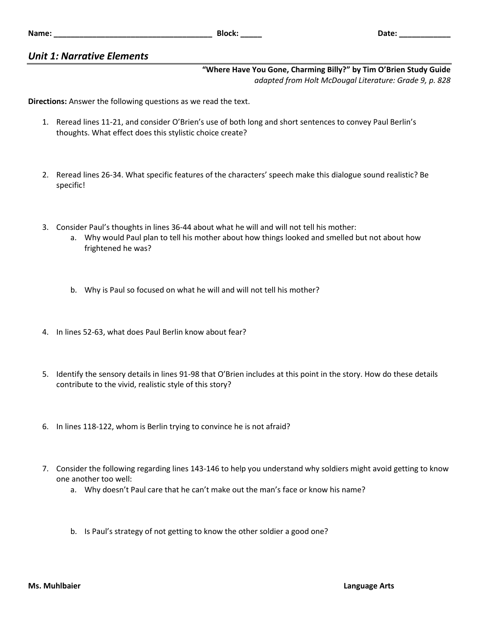## *Unit 1: Narrative Elements*

## **"Where Have You Gone, Charming Billy?" by Tim O'Brien Study Guide** *adapted from Holt McDougal Literature: Grade 9, p. 828*

**Directions:** Answer the following questions as we read the text.

- 1. Reread lines 11-21, and consider O'Brien's use of both long and short sentences to convey Paul Berlin's thoughts. What effect does this stylistic choice create?
- 2. Reread lines 26-34. What specific features of the characters' speech make this dialogue sound realistic? Be specific!
- 3. Consider Paul's thoughts in lines 36-44 about what he will and will not tell his mother:
	- a. Why would Paul plan to tell his mother about how things looked and smelled but not about how frightened he was?
	- b. Why is Paul so focused on what he will and will not tell his mother?
- 4. In lines 52-63, what does Paul Berlin know about fear?
- 5. Identify the sensory details in lines 91-98 that O'Brien includes at this point in the story. How do these details contribute to the vivid, realistic style of this story?
- 6. In lines 118-122, whom is Berlin trying to convince he is not afraid?
- 7. Consider the following regarding lines 143-146 to help you understand why soldiers might avoid getting to know one another too well:
	- a. Why doesn't Paul care that he can't make out the man's face or know his name?
	- b. Is Paul's strategy of not getting to know the other soldier a good one?